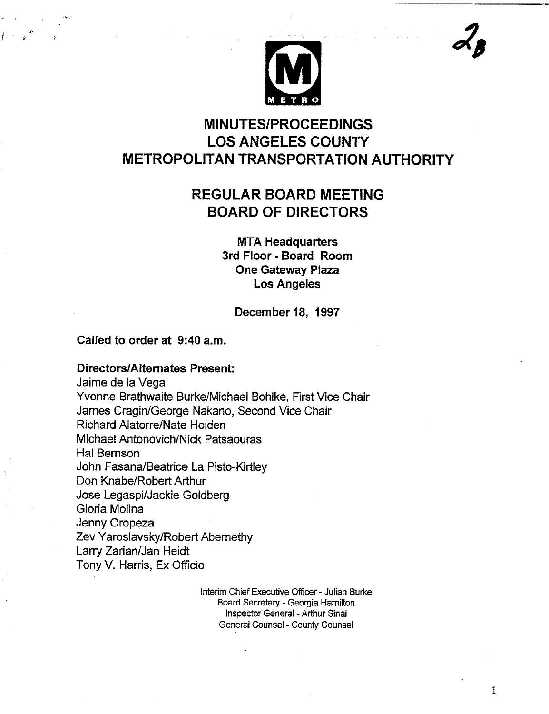

# **MINUTES/PROCEEDINGS LOS ANGELES COUNTY METROPOLITAN TRANSPORTATION AUTHORITY**

# **REGULAR BOARD MEETING BOARD OF DIRECTORS**

**MTA Headquarters 3rd Floor - Board Room One Gateway Plaza Los Angeles**

**December 18, 1997**

### **Called to order at 9:40 a.m.**

#### **Directors/Alternates Present:**

Jaime de la Vega Yvonne Brathwaite Burke/Michael Bohlke, First Vice Chair James Cragin/George Nakano, Second Vice Chair Richard Alatorre/Nate Holden Michael Antonovich/Nick Patsaouras Hal Bernson John Fasana/Beatrice La Pisto-Kirtley Don Knabe/Robert Arthur Jose Legaspi/Jackie Goldberg Gloria Molina Jenny Oropeza Zev Yaroslavsky/Robert Abernethy Larry Zarian/Jan Heidt Tony V. Harris, Ex Officio

> Interim Chief Executive Officer - Julian Burke Board Secretary - Georgia Hamilton Inspector General - Arthur Sinai General Counsel -County Counsel

> > $\mathbf{1}$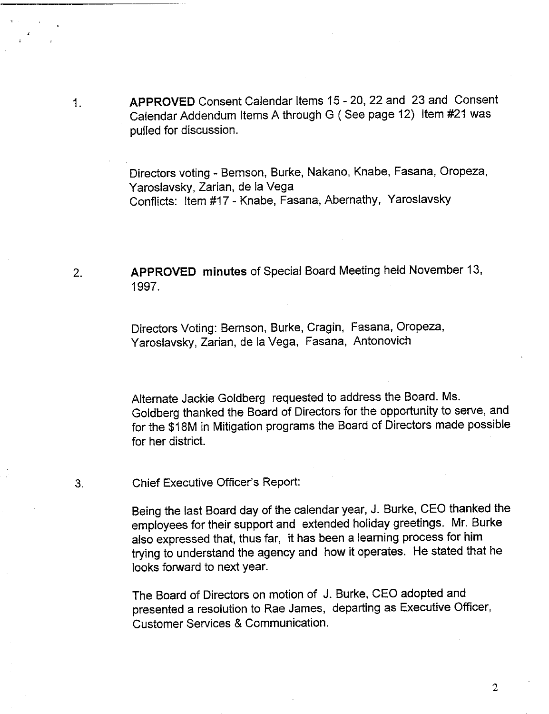APPROVED Consent Calendar Items 15 - 20, 22 and 23 and Consent Calendar Addendum Items A through G ( See page 12) Item #21 was pulled for discussion.

Directors voting - Bernson, Burke, Nakano, Knabe, Fasana, Oropeza, Yaroslavsky, Zarian, de la Vega Conflicts: Item #17 - Knabe, Fasana, Abernathy, Yaroslavsky

APPROVED minutes of Special Board Meeting held November 13,  $2.$ 1997.

> Directors Voting: Bernson, Burke, Cragin, Fasana, Oropeza, Yaroslavsky, Zarian, de la Vega, Fasana, Antonovich

Alternate Jackie Goldberg requested to address the Board. Ms. Goldberg thanked the Board of Directors for the opportunity to serve, and for the \$18M in Mitigation programs the Board of Directors made possible for her district.

Chief Executive Officer's Report:  $3<sub>l</sub>$ 

 $1<sub>1</sub>$ 

Being the last Board day of the calendar year, J. Burke, CEO thanked the employees for their support and extended holiday greetings. Mr. Burke also expressed that, thus far, it has been a learning process for him trying to understand the agency and how it operates. He stated that he looks forward to next year.

The Board of Directors on motion of J. Burke, CEO adopted and presented a resolution to Rae James, departing as Executive Officer, Customer Services & Communication.

 $\overline{2}$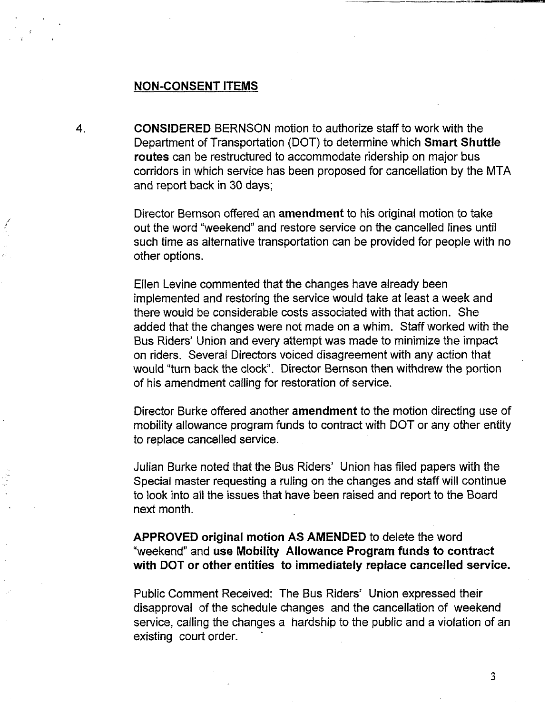#### **NON-CONSENT ITEMS**

 $\mathbf 4$ . CONSIDERED BERNSON motion to authorize staff to work with the Department of Transportation (DOT) to determine which **Smart Shuttle routes** can be restructured to accommodate ridership on major bus corridors in which service has been proposed for cancellation by the MTA and report back in 30 days;

> Director Bernson offered an amendment to his original motion to take out the word "weekend" and restore service on the cancelled lines until such time as alternative transportation can be provided for people with no other options.

> Ellen Levine commented that the changes have already been implemented and restoring the service would take at least a week and there would be considerable costs associated with that action. She added that the changes were not made on a whim. Staff worked with the Bus Riders' Union and every attempt was made to minimize the impact on riders. Several Directors voiced disagreement with any action that would "turn back the clock". Director Bernson then withdrew the portion of his amendment calling for restoration of service.

> Director Burke offered another amendment to the motion directing use of mobility allowance program funds to contract with DOT or any other entity to replace cancelled service.

Julian Burke noted that the Bus Riders' Union has filed papers with the Special master requesting a ruling on the changes and staff will continue to look into all the issues that have been raised and report to the Board next month.

**APPROVED original motion AS AMENDED to delete the word '~veekend" and use Mobility Allowance Program funds to contract with DOT or other entities to immediately replace cancelled service.**

Public Comment Received: The Bus Riders' Union expressed their disapproval of the schedule changes and the cancellation of weekend service, calling the changes a hardship to the public and a violation of an existing court order.

 $\overline{3}$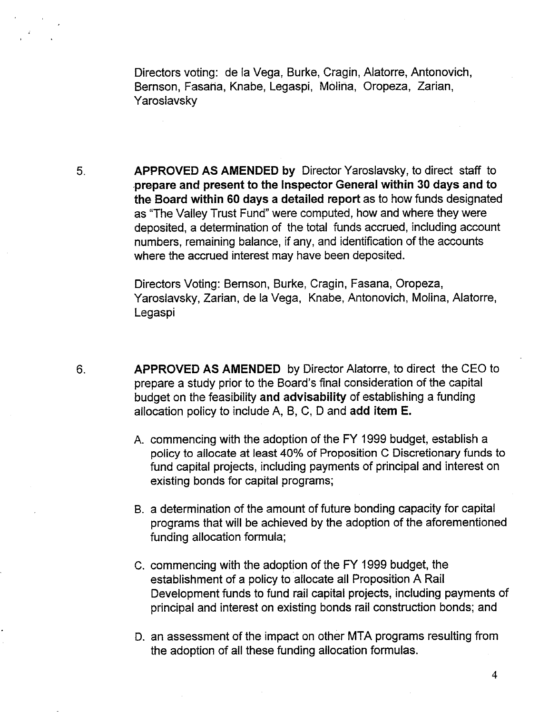Directors voting: de la Vega, Burke, Cragin, Alatorre, Antonovich, Bernson, Fasaria, Knabe, Legaspi, Molina, Oropeza, Zarian, Yaroslavsky

5. APPROVED AS AMENDED by Director Yaroslavsky, to direct staff to prepare and present to the Inspector General within 30 days and to the Board within 60 days a detailed report as to how funds designated as "The Valley Trust Fund" were computed, how and where they were deposited, a determination of the total funds accrued, including account numbers, remaining balance, if any, and identification of the accounts where the accrued interest may have been deposited.

> Directors Voting: Bernson, Burke, Cragin, Fasana, Oropeza, Yaroslavsky, Zarian, de la Vega, Knabe, Antonovich, Molina, Alatorre, Legaspi

- $6.$ APPROVED AS AMENDED by Director Alatorre, to direct the CEO to prepare a study prior to the Board's final consideration of the capital budget on the feasibility and advisability of establishing a funding allocation policy to include A, B, C, D and add item E.
	- A. commencing with the adoption of the FY 1999 budget, establish a policy to allocate at least 40% of Proposition C Discretionary funds to fund capital projects, including payments of principal and interest on existing bonds for capital programs;
	- B. a determination of the amount of future bonding capacity for capital programs that will be achieved by the adoption of the aforementioned funding allocation formula;
	- C. commencing with the adoption of the FY 1999 budget, the establishment of a policy to allocate all Proposition A Rail Development funds to fund rail capital projects, including payments of principal and interest on existing bonds rail construction bonds; and
	- D. an assessment of the impact on other MTA programs resulting from the adoption of all these funding allocation formulas.

 $\overline{4}$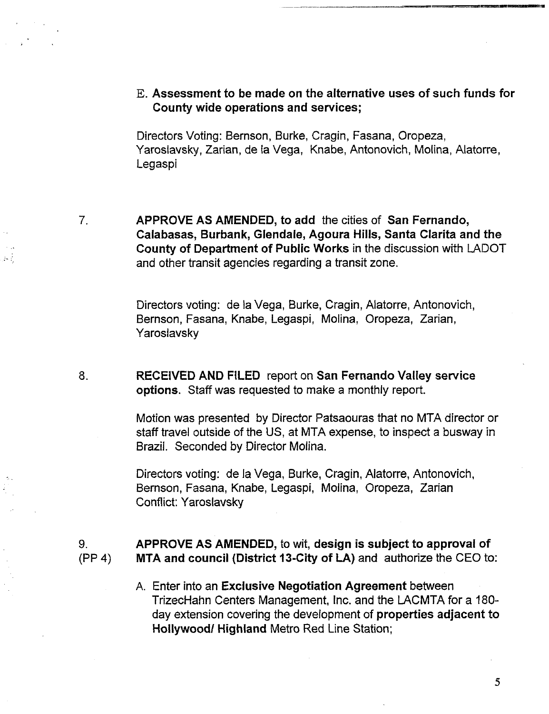**]~.Assessment to be made on the alternative uses of such funds for County wide operations and services;**

Directors Voting: Bernson, Burke, Cragin, Fasana, Oropeza, Yaroslavsky, Zarian, de la Vega, Knabe, Antonovich, Molina, Alatorre, Legaspi

 $7<sub>1</sub>$ 

**APPROVE AS** AMENDED, to add the cities of San Fernando, **Calabasas, Burbank, Glendale, Agoura Hills, Santa Clarita and** the County of Department of Public Works in the discussion with LADOT and other transit agencies regarding a transit zone.

Directors voting: de la Vega, Burke, Cragin, Alatorre, Antonovich, Bernson, Fasana, Knabe, Legaspi, Molina, Oropeza, Zarian, Yaroslavsky

8. RECEIVED AND FILED report on San Fernando Valley service options. Staff was requested to make a monthly report.

> Motion was presented by Director Patsaouras that no MTA director or staff travel outside of the US, at MTA expense, to inspect a busway in Brazil. Seconded by Director Molina.

Directors voting: de la Vega, Burke, Cragin, Alatorre, Antonovich, Bernson, Fasana, Knabe, Legaspi, Molina, Oropeza, Zarian Conflict: Yaroslavsky

#### **APPROVE AS AMENDED, to wit, design is subject to approval of** 9. **MTA and council (District** 13-City of LA) and authorize the CEO to: (PP 4)

A. Enter into an Exclusive **Negotiation Agreement** between TrizecHahn Centers Management, Inc. and the LACMTA for a 180 day extension covering the development of **properties adjacent** to Hollywood/Highland Metro Red Line Station;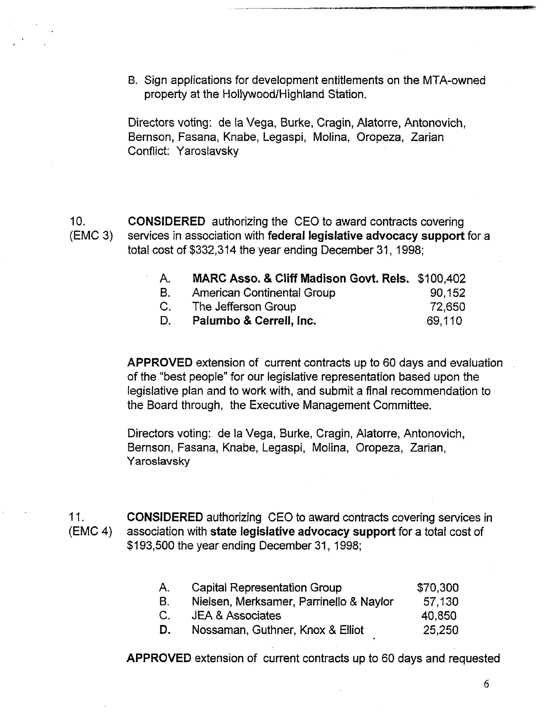B. Sign applications for development entitlements on the MTA-owned property at the Hollywood/Highland Station.

Directors voting: de la Vega, Burke, Cragin, Alatorre, Antonovich, Bernson, Fasana, Knabe, Legaspi, Molina, Oropeza, Zarian Conflict: Yaroslavsky

10. (EMC 3) CONSIDERED authorizing the CEO to award contracts covering services in association with federal legislative advocacy support for a total cost of \$332,314 the year ending December 31, 1998;

| A. | MARC Asso. & Cliff Madison Govt. Rels. \$100,402 |        |
|----|--------------------------------------------------|--------|
| B. | American Continental Group                       | 90,152 |
| C. | The Jefferson Group                              | 72,650 |
| D. | Palumbo & Cerrell, Inc.                          | 69.110 |

APPROVED extension of current contracts up to 60 days and evaluation of the "best people" for our legislative representation based upon the legislative plan and to work with, and submit a final recommendation t the Board through, the Executive Management Committee.

Directors voting: de la Vega, Burke, Cragin, Aiatorre, Antonovich, Bernson, Fasana, Knabe, Legaspi, Molina, Oropeza, Zarian, Yaroslavsky

11. (EMC 4) CONSIDERED authorizing CEO to award contracts covering services in association with state legislative advocacy support for a total cost of \$193,500 the year ending December 31, 1998;

| А.          | <b>Capital Representation Group</b>     | \$70.300 |
|-------------|-----------------------------------------|----------|
| В.          | Nielsen, Merksamer, Parrinello & Naylor | 57.130   |
| $C_{\cdot}$ | <b>JEA &amp; Associates</b>             | 40,850   |
| D.          | Nossaman, Guthner, Knox & Elliot        | 25,250   |
|             |                                         |          |

APPROVED extension of current contracts up to 60 days and requested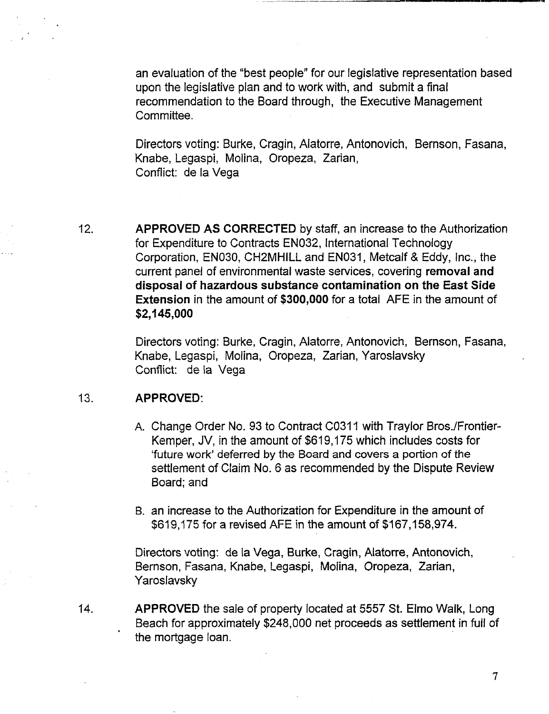an evaluation of the "best people" for our legislative representation based upon the legislative plan and to work with, and submit a final recommendation to the Board through, the Executive Management Committee.

Directors voting: Burke, Cragin, Alatorre, Antonovich, Bernson, Fasana, Knabe, Legaspi, Molina, Oropeza, Zarian, Conflict: de la Vega

12. APPROVED AS CORRECTED by staff, an increase to the Authorization for Expenditure to Contracts EN032, International Technology Corporation, EN030, CH2MHILL and EN031, Metcalf & Eddy, Inc., the current panel of environmental waste services, covering **removal and disposal of hazardous substance contamination on the East Side Extension** in the amount of \$300,000 for a total AFE in the amount of **\$2,145,000**

> Directors voting: Burke, Cragin, Alatorre, Antonovich, Bernson, Fasana, Knabe, Legaspi, Molina, Oropeza, Zarian, Yaroslavsky Conflict: de la Vega

#### 13. **APPROVED:**

- A. Change Order No. 93 to Contract C0311 with Traylor Bros./Frontier-Kemper, JV, in the amount of \$619,175 which includes costs for 'future work' deferred by the Board and covers a portion of the settlement of Claim No. 6 as recommended by the Dispute Review Board; and
- B. an increase to the Authorization for Expenditure in the amount of \$619,175 for a revised AFE in the amount of \$167,158,974.

Directors voting: de la Vega, Burke, Cragin, Alatorre, Antonovich, Bernson, Fasana, Knabe, Legaspi, Molina, Oropeza, Zarian, Yaroslavsky

14. APPROVED the sale of property located at 5557 St. Elmo Walk, Long Beach for approximately \$248,000 net proceeds as settlement in full of the mortgage loan.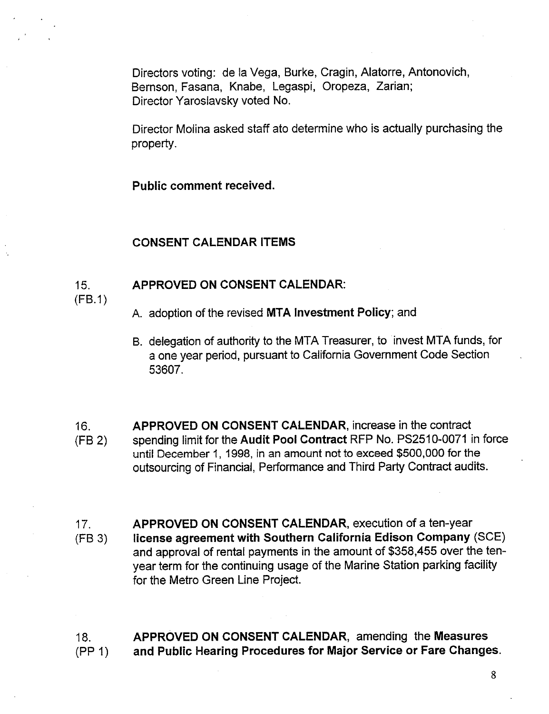Directors voting: de la Vega, Burke, Cragin, Alatorre, Antonovich, Bernson, Fasana, Knabe, Legaspi, Oropeza, Zarian; Director Yaroslavsky voted No.

**Director Molina asked staff ato determine who is actually purchasing the** property.

Public comment **received.**

#### **CONSENT CALENDAR ITEMS**

#### 15. **APPROVED ON CONSENTCALENDAR:**

(FB.1)

- A. adoption of the revised MTA Investment Policy; and
- B. delegation of authority to the MTA Treasurer, to invest MTA funds, for a one year period, pursuant to California Government Code Section 53607.
- 16. (FB 2) APPROVED ON CONSENT CALENDAR, increase in the contract spending limit for the Audit Pool Contract RFP No. PS2510-0071 in force until December 1, 1998, in an amount not to exceed \$500,000 for the outsourcing of Financial, Performance and Third Party Contract audits.
- 17. (FB 3) APPROVED ON CONSENT CALENDAR, execution of a ten-year **license agreement with Southern California Edison Company (SCE)** and approval of rental payments in the amount of \$358,455 over the tenyear term for the continuing usage of the Marine Station parking facility for the Metro Green Line Project.

**18.** (PP 1) **APPROVED ON CONSENT CALENDAR, amending the Measures and Public Hearing Procedures for Major Service or Fare Changes.**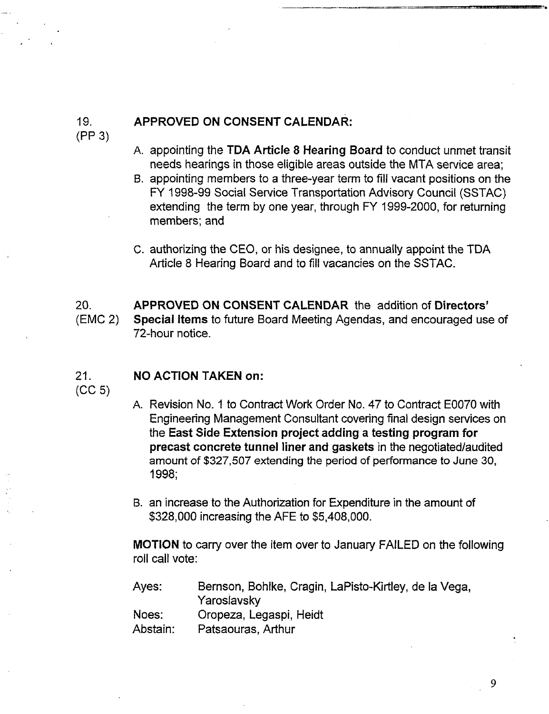# **APPROVED ON CONSENT CALENDAR:**

(PP 3)

19.

- **Ao** appointing the TDA Article 8 Hearing Board to conduct unmet transit needs hearings in those eligible areas outside the MTA service area;
- B. appointing members to a three-year term to fill vacant positions on the FY 1998-99 Social Service Transportation Advisory Council (SSTAC) extending the term by one year, through FY 1999-2000, for returning members; and
- C. authorizing the CEO, or his designee, to annually appoint the TDA Article 8 Hearing Board and to fill vacancies on the SSTAC.

20. (EMC 2) APPROVED ON CONSENT CALENDAR the addition of Directors' Special Items to future Board Meeting Agendas, and encouraged use of 72-hour notice.

#### **21. NO ACTION TAKEN on:**

(CC 5)

- A. Revision No. 1 to Contract Work Order No. 47 to Contract E0070 with Engineering Management Consultant covering final design services on the East Side Extension project adding a testing program **for** precast concrete tunnel liner and gaskets in the negotiated/audited amount of \$327,507 extending the period of performance to June 30, 1998;
- B. an increase to the Authorization for Expenditure in the amount of \$328,000 increasing the AFE to \$5,408,000.

MOTION to carry over the item over to January FAILED on the following roll call vote:

Ayes: Noes: Bernson, Bohlke, Cragin, LaPisto-Kirtley, de la Vega, Yaroslavsky Oropeza, Legaspi, Heidt

Abstain: Patsaouras, Arthur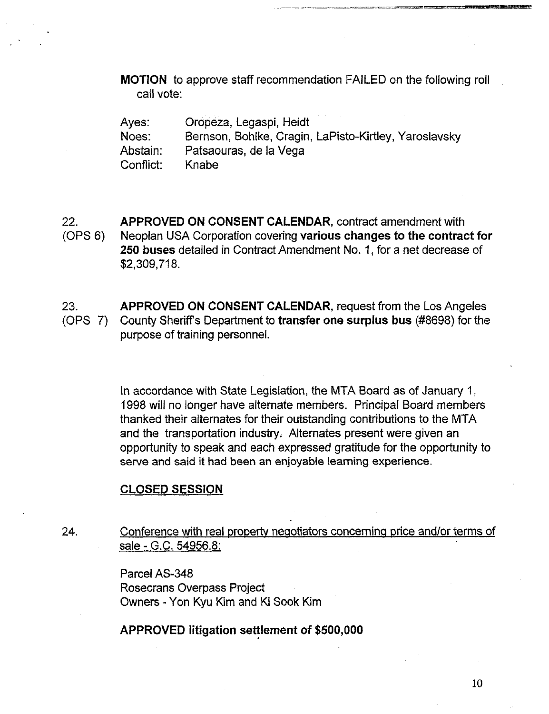MOTION to approve staff recommendation FAILED on the following roll call vote:

Ayes: Noes: Abstain: Conflict: Or0peza, Legaspi, Heidt Bernson, Bohlke, Cragin, LaPisto-Kirtley, Yaroslavsky Patsaouras, de la Vega Knabe

22. (OPS 6) APPROVED ON CONSENT CALENDAR, contract amendment with Neoplan USA Corporation covering various changes **to the contract** for **250** buses detailed in Contract Amendment No. 1, for a net decrease of \$2,309,718.

23. (OPS 7) APPROVED ON CONSENT CALENDAR, request from the Los Angeles County Sheriff's Department to **transfer one** surplus bus (#8698) for the purpose of training personnel.

> In accordance with State Legislation, the MTA Board as of January 1, 1998 will no longer have alternate members. Principal Board members thanked their alternates for their outstanding contributions to the MTA and the transportation industry, Alternates present were given an opportunity to speak and each expressed gratitude for the opportunity to serve and said it had been an enjoyable learning experience.

### **CLOSED SESSION**

24. Conference with real property negotiators conceminq price and/or terms of sale - G.C. 54956.8:

> Parcel AS-348 Rosecrans Overpass Project Owners -Yon Kyu Kim and Ki Sook Kim

**APPROVED litigation settlement of \$500,000**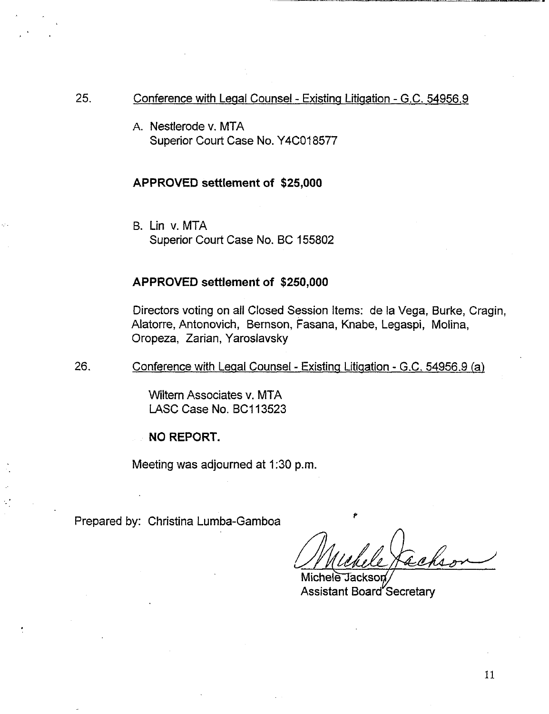- 25. Conference with Leqal Counsel - Existing Litigation - G.C. 54956.9
	- A. Nestlerode v. MTA Superior Court Case No. Y4C018577

#### **APPROVED settlement of \$25,000**

B. Lin v. MTA Superior Court Case No. BC 155802

### **APPROVED settlement of \$250,000**

Directors voting on all Closed Session Items: de la Vega, Burke, Cragin, Alatorre, Antonovich, Bernson, Fasana, Knabe, Legaspi, Molina, Oropeza, Zarian, Yaroslavsky

26. Conference with Legal Counsel - Existing Litigation - G.C. 54956.9 (a)

> Wiltern Associates v. MTA LASC Case No. BC113523

**NO REPORT.**

Meeting was adjourned at 1:30 **p.m.**

Prepared by: Christina Lumba-Gamboa

Michele Jackson **Assistant Board Secretary**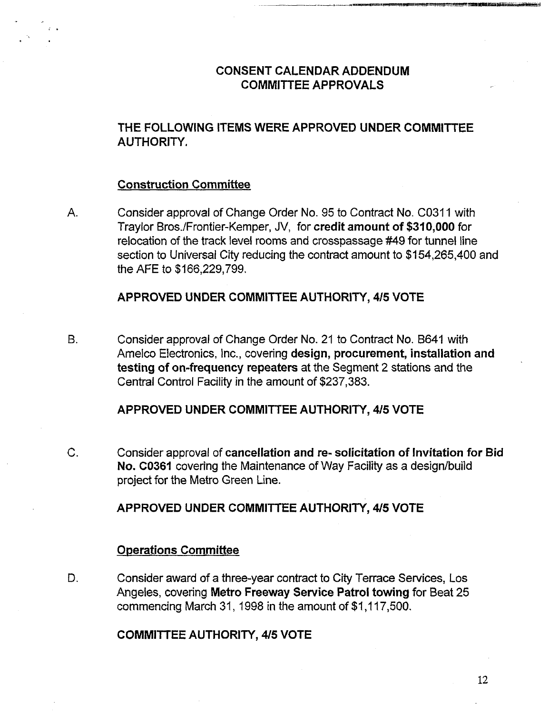# **CONSENT CALENDAR ADDENDUM** COMMITTEE APPROVALS

# **THE FOLLOWING ITEMS WERE APPROVED UNDER COMMITTEE** AUTHORITY.

### **Construction Committee**

 $A_{1}$ Consider approval of Change Order No. 95 to Contract No. C0311 with Traylor Bros./Frontier-Kemper, JV, for credit amount of \$310,000 for relocation of the track level rooms and crosspassage #49 for tunnel line section to Universal City reducing the contract amount to \$154,265,400 and the AFE to \$166,229,799.

# APPROVED UNDER COMMITTEE AUTHORITY, 4/5 VOTE

**B.** Consider approval of Change Order No. 21 to Contract No. B641 with Amelco Electronics, Inc., covering design, procurement, installation and testing of **on-frequency repeaters** at the Segment 2 stations and the Central Control Facility in the amount of \$237,383.

### APPROVED UNDER COMMITTEE AUTHORITY, 415 VOTE

 $C_{-}$ Consider approval of cancellation **and re-** solicitation of **Invitation for Bid** No. C0361 covering the Maintenance of Way Facility as a design/build project for the Metro Green Line.

# **APPROVED UNDER COMMITTEE AUTHORITY, 4/5 VOTE**

### **Operations Committee**

D. Consider award of a three-year contract to City Terrace Services, Los Angeles, coveting **Metro Freeway** Service Patrol towing for Beat 25 commencing March 31, 1998 in the amount of \$1,117,500.

### COMMITTEE AUTHORITY, 415 VOTE